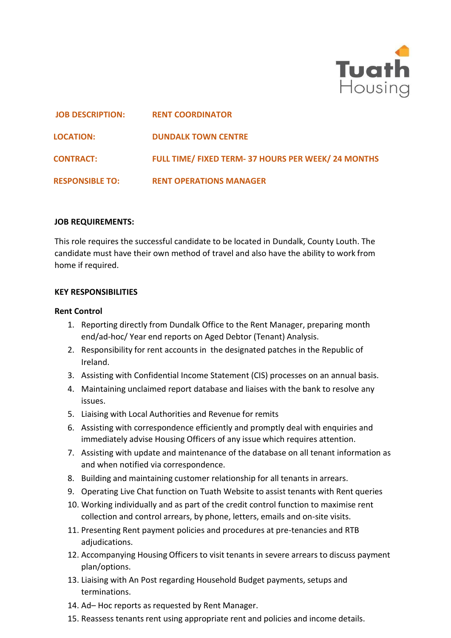

| <b>JOB DESCRIPTION:</b> | <b>RENT COORDINATOR</b>                                    |
|-------------------------|------------------------------------------------------------|
| <b>LOCATION:</b>        | <b>DUNDALK TOWN CENTRE</b>                                 |
| <b>CONTRACT:</b>        | <b>FULL TIME/ FIXED TERM- 37 HOURS PER WEEK/ 24 MONTHS</b> |
| <b>RESPONSIBLE TO:</b>  | <b>RENT OPERATIONS MANAGER</b>                             |

### **JOB REQUIREMENTS:**

This role requires the successful candidate to be located in Dundalk, County Louth. The candidate must have their own method of travel and also have the ability to work from home if required.

#### **KEY RESPONSIBILITIES**

## **Rent Control**

- 1. Reporting directly from Dundalk Office to the Rent Manager, preparing month end/ad-hoc/ Year end reports on Aged Debtor (Tenant) Analysis.
- 2. Responsibility for rent accounts in the designated patches in the Republic of Ireland.
- 3. Assisting with Confidential Income Statement (CIS) processes on an annual basis.
- 4. Maintaining unclaimed report database and liaises with the bank to resolve any issues.
- 5. Liaising with Local Authorities and Revenue for remits
- 6. Assisting with correspondence efficiently and promptly deal with enquiries and immediately advise Housing Officers of any issue which requires attention.
- 7. Assisting with update and maintenance of the database on all tenant information as and when notified via correspondence.
- 8. Building and maintaining customer relationship for all tenants in arrears.
- 9. Operating Live Chat function on Tuath Website to assist tenants with Rent queries
- 10. Working individually and as part of the credit control function to maximise rent collection and control arrears, by phone, letters, emails and on-site visits.
- 11. Presenting Rent payment policies and procedures at pre-tenancies and RTB adjudications.
- 12. Accompanying Housing Officers to visit tenants in severe arrears to discuss payment plan/options.
- 13. Liaising with An Post regarding Household Budget payments, setups and terminations.
- 14. Ad– Hoc reports as requested by Rent Manager.
- 15. Reassess tenants rent using appropriate rent and policies and income details.